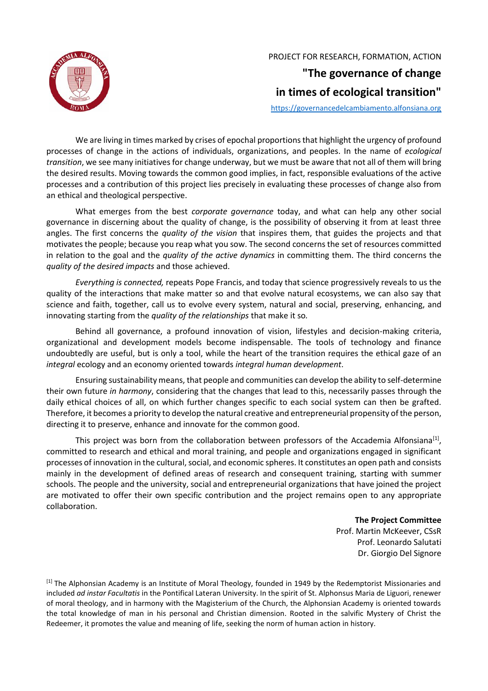

PROJECT FOR RESEARCH, FORMATION, ACTION

## **"The governance of change in times of ecological transition"**

[https://governancedelcambiamento.alfonsiana.org](https://governancedelcambiamento.alfonsiana.org/)

We are living in times marked by crises of epochal proportions that highlight the urgency of profound processes of change in the actions of individuals, organizations, and peoples. In the name of *ecological transition*, we see many initiatives for change underway, but we must be aware that not all of them will bring the desired results. Moving towards the common good implies, in fact, responsible evaluations of the active processes and a contribution of this project lies precisely in evaluating these processes of change also from an ethical and theological perspective.

What emerges from the best *corporate governance* today, and what can help any other social governance in discerning about the quality of change, is the possibility of observing it from at least three angles. The first concerns the *quality of the vision* that inspires them, that guides the projects and that motivates the people; because you reap what you sow. The second concerns the set of resources committed in relation to the goal and the *quality of the active dynamics* in committing them. The third concerns the *quality of the desired impacts* and those achieved.

*Everything is connected,* repeats Pope Francis, and today that science progressively reveals to us the quality of the interactions that make matter so and that evolve natural ecosystems, we can also say that science and faith, together, call us to evolve every system, natural and social, preserving, enhancing, and innovating starting from the *quality of the relationships* that make it so*.*

Behind all governance, a profound innovation of vision, lifestyles and decision-making criteria, organizational and development models become indispensable. The tools of technology and finance undoubtedly are useful, but is only a tool, while the heart of the transition requires the ethical gaze of an *integral* ecology and an economy oriented towards *integral human development*.

Ensuring sustainability means, that people and communities can develop the ability to self-determine their own future *in harmony*, considering that the changes that lead to this, necessarily passes through the daily ethical choices of all, on which further changes specific to each social system can then be grafted. Therefore, it becomes a priority to develop the natural creative and entrepreneurial propensity of the person, directing it to preserve, enhance and innovate for the common good.

This project was born from the collaboration between professors of the Accademia Alfonsiana<sup>[1]</sup>, committed to research and ethical and moral training, and people and organizations engaged in significant processes of innovation in the cultural, social, and economic spheres. It constitutes an open path and consists mainly in the development of defined areas of research and consequent training, starting with summer schools. The people and the university, social and entrepreneurial organizations that have joined the project are motivated to offer their own specific contribution and the project remains open to any appropriate collaboration.

> **The Project Committee** Prof. Martin McKeever, CSsR Prof. Leonardo Salutati Dr. Giorgio Del Signore

<sup>[1]</sup> The Alphonsian Academy is an Institute of Moral Theology, founded in 1949 by the Redemptorist Missionaries and included *ad instar Facultatis* in the Pontifical Lateran University. In the spirit of St. Alphonsus Maria de Liguori, renewer of moral theology, and in harmony with the Magisterium of the Church, the Alphonsian Academy is oriented towards the total knowledge of man in his personal and Christian dimension. Rooted in the salvific Mystery of Christ the Redeemer, it promotes the value and meaning of life, seeking the norm of human action in history.